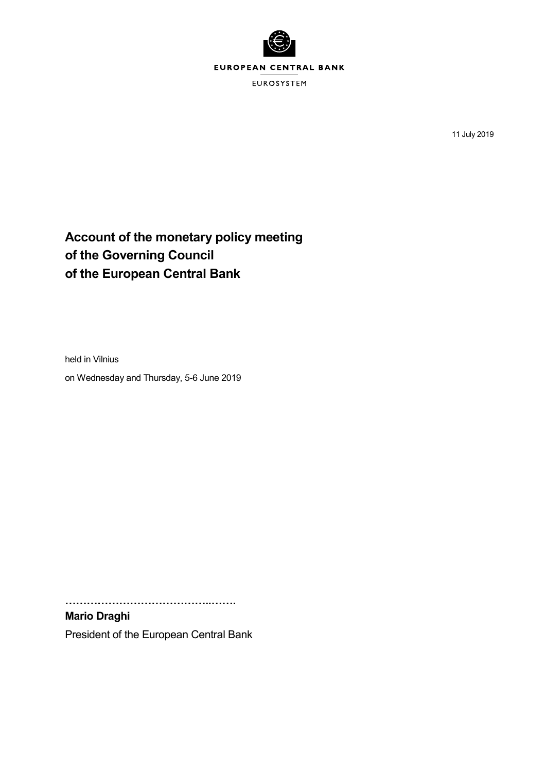

11 July 2019

# **Account of the monetary policy meeting of the Governing Council of the European Central Bank**

held in Vilnius

on Wednesday and Thursday, 5-6 June 2019

**…………………………………..…….**

**Mario Draghi** President of the European Central Bank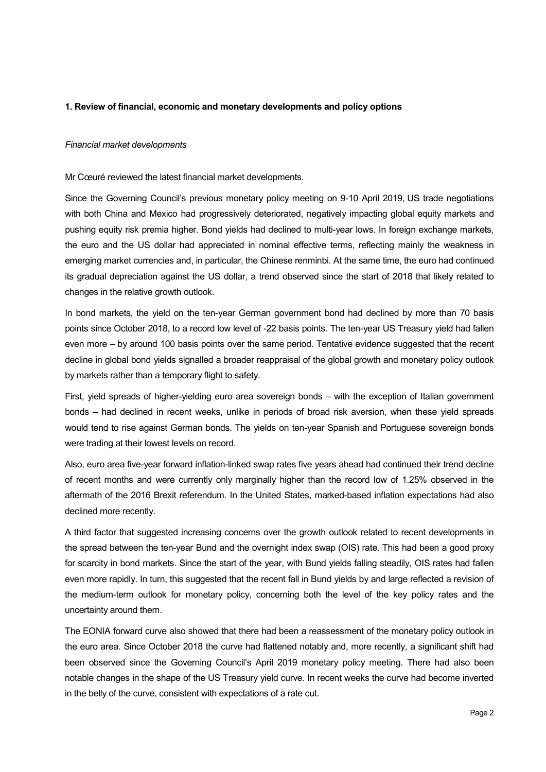# **1. Review of financial, economic and monetary developments and policy options**

## *Financial market developments*

Mr Cœuré reviewed the latest financial market developments.

Since the Governing Council's previous monetary policy meeting on 9-10 April 2019, US trade negotiations with both China and Mexico had progressively deteriorated, negatively impacting global equity markets and pushing equity risk premia higher. Bond yields had declined to multi-year lows. In foreign exchange markets, the euro and the US dollar had appreciated in nominal effective terms, reflecting mainly the weakness in emerging market currencies and, in particular, the Chinese renminbi. At the same time, the euro had continued its gradual depreciation against the US dollar, a trend observed since the start of 2018 that likely related to changes in the relative growth outlook.

In bond markets, the yield on the ten-year German government bond had declined by more than 70 basis points since October 2018, to a record low level of -22 basis points. The ten-year US Treasury yield had fallen even more – by around 100 basis points over the same period. Tentative evidence suggested that the recent decline in global bond yields signalled a broader reappraisal of the global growth and monetary policy outlook by markets rather than a temporary flight to safety.

First, yield spreads of higher-yielding euro area sovereign bonds – with the exception of Italian government bonds – had declined in recent weeks, unlike in periods of broad risk aversion, when these yield spreads would tend to rise against German bonds. The yields on ten-year Spanish and Portuguese sovereign bonds were trading at their lowest levels on record.

Also, euro area five-year forward inflation-linked swap rates five years ahead had continued their trend decline of recent months and were currently only marginally higher than the record low of 1.25% observed in the aftermath of the 2016 Brexit referendum. In the United States, marked-based inflation expectations had also declined more recently.

A third factor that suggested increasing concerns over the growth outlook related to recent developments in the spread between the ten-year Bund and the overnight index swap (OIS) rate. This had been a good proxy for scarcity in bond markets. Since the start of the year, with Bund yields falling steadily, OIS rates had fallen even more rapidly. In turn, this suggested that the recent fall in Bund yields by and large reflected a revision of the medium-term outlook for monetary policy, concerning both the level of the key policy rates and the uncertainty around them.

The EONIA forward curve also showed that there had been a reassessment of the monetary policy outlook in the euro area. Since October 2018 the curve had flattened notably and, more recently, a significant shift had been observed since the Governing Council's April 2019 monetary policy meeting. There had also been notable changes in the shape of the US Treasury yield curve. In recent weeks the curve had become inverted in the belly of the curve, consistent with expectations of a rate cut.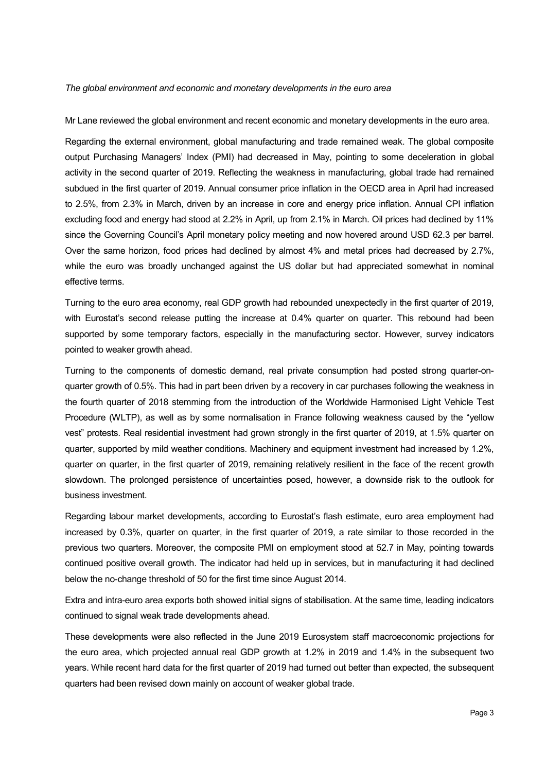### *The global environment and economic and monetary developments in the euro area*

Mr Lane reviewed the global environment and recent economic and monetary developments in the euro area.

Regarding the external environment, global manufacturing and trade remained weak. The global composite output Purchasing Managers' Index (PMI) had decreased in May, pointing to some deceleration in global activity in the second quarter of 2019. Reflecting the weakness in manufacturing, global trade had remained subdued in the first quarter of 2019. Annual consumer price inflation in the OECD area in April had increased to 2.5%, from 2.3% in March, driven by an increase in core and energy price inflation. Annual CPI inflation excluding food and energy had stood at 2.2% in April, up from 2.1% in March. Oil prices had declined by 11% since the Governing Council's April monetary policy meeting and now hovered around USD 62.3 per barrel. Over the same horizon, food prices had declined by almost 4% and metal prices had decreased by 2.7%, while the euro was broadly unchanged against the US dollar but had appreciated somewhat in nominal effective terms.

Turning to the euro area economy, real GDP growth had rebounded unexpectedly in the first quarter of 2019, with Eurostat's second release putting the increase at 0.4% quarter on quarter. This rebound had been supported by some temporary factors, especially in the manufacturing sector. However, survey indicators pointed to weaker growth ahead.

Turning to the components of domestic demand, real private consumption had posted strong quarter-onquarter growth of 0.5%. This had in part been driven by a recovery in car purchases following the weakness in the fourth quarter of 2018 stemming from the introduction of the Worldwide Harmonised Light Vehicle Test Procedure (WLTP), as well as by some normalisation in France following weakness caused by the "yellow vest" protests. Real residential investment had grown strongly in the first quarter of 2019, at 1.5% quarter on quarter, supported by mild weather conditions. Machinery and equipment investment had increased by 1.2%, quarter on quarter, in the first quarter of 2019, remaining relatively resilient in the face of the recent growth slowdown. The prolonged persistence of uncertainties posed, however, a downside risk to the outlook for business investment.

Regarding labour market developments, according to Eurostat's flash estimate, euro area employment had increased by 0.3%, quarter on quarter, in the first quarter of 2019, a rate similar to those recorded in the previous two quarters. Moreover, the composite PMI on employment stood at 52.7 in May, pointing towards continued positive overall growth. The indicator had held up in services, but in manufacturing it had declined below the no-change threshold of 50 for the first time since August 2014.

Extra and intra-euro area exports both showed initial signs of stabilisation. At the same time, leading indicators continued to signal weak trade developments ahead.

These developments were also reflected in the June 2019 Eurosystem staff macroeconomic projections for the euro area, which projected annual real GDP growth at 1.2% in 2019 and 1.4% in the subsequent two years. While recent hard data for the first quarter of 2019 had turned out better than expected, the subsequent quarters had been revised down mainly on account of weaker global trade.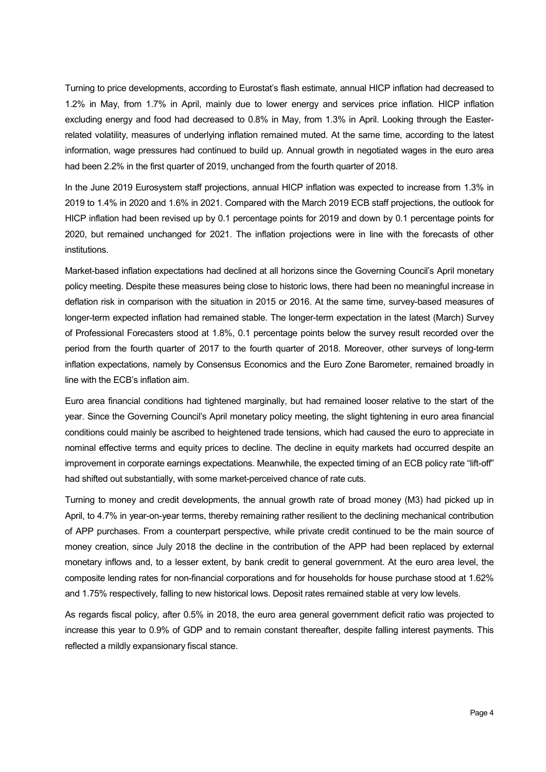Turning to price developments, according to Eurostat's flash estimate, annual HICP inflation had decreased to 1.2% in May, from 1.7% in April, mainly due to lower energy and services price inflation. HICP inflation excluding energy and food had decreased to 0.8% in May, from 1.3% in April. Looking through the Easterrelated volatility, measures of underlying inflation remained muted. At the same time, according to the latest information, wage pressures had continued to build up. Annual growth in negotiated wages in the euro area had been 2.2% in the first quarter of 2019, unchanged from the fourth quarter of 2018.

In the June 2019 Eurosystem staff projections, annual HICP inflation was expected to increase from 1.3% in 2019 to 1.4% in 2020 and 1.6% in 2021. Compared with the March 2019 ECB staff projections, the outlook for HICP inflation had been revised up by 0.1 percentage points for 2019 and down by 0.1 percentage points for 2020, but remained unchanged for 2021. The inflation projections were in line with the forecasts of other institutions.

Market-based inflation expectations had declined at all horizons since the Governing Council's April monetary policy meeting. Despite these measures being close to historic lows, there had been no meaningful increase in deflation risk in comparison with the situation in 2015 or 2016. At the same time, survey-based measures of longer-term expected inflation had remained stable. The longer-term expectation in the latest (March) Survey of Professional Forecasters stood at 1.8%, 0.1 percentage points below the survey result recorded over the period from the fourth quarter of 2017 to the fourth quarter of 2018. Moreover, other surveys of long-term inflation expectations, namely by Consensus Economics and the Euro Zone Barometer, remained broadly in line with the ECB's inflation aim.

Euro area financial conditions had tightened marginally, but had remained looser relative to the start of the year. Since the Governing Council's April monetary policy meeting, the slight tightening in euro area financial conditions could mainly be ascribed to heightened trade tensions, which had caused the euro to appreciate in nominal effective terms and equity prices to decline. The decline in equity markets had occurred despite an improvement in corporate earnings expectations. Meanwhile, the expected timing of an ECB policy rate "lift-off" had shifted out substantially, with some market-perceived chance of rate cuts.

Turning to money and credit developments, the annual growth rate of broad money (M3) had picked up in April, to 4.7% in year-on-year terms, thereby remaining rather resilient to the declining mechanical contribution of APP purchases. From a counterpart perspective, while private credit continued to be the main source of money creation, since July 2018 the decline in the contribution of the APP had been replaced by external monetary inflows and, to a lesser extent, by bank credit to general government. At the euro area level, the composite lending rates for non-financial corporations and for households for house purchase stood at 1.62% and 1.75% respectively, falling to new historical lows. Deposit rates remained stable at very low levels.

As regards fiscal policy, after 0.5% in 2018, the euro area general government deficit ratio was projected to increase this year to 0.9% of GDP and to remain constant thereafter, despite falling interest payments. This reflected a mildly expansionary fiscal stance.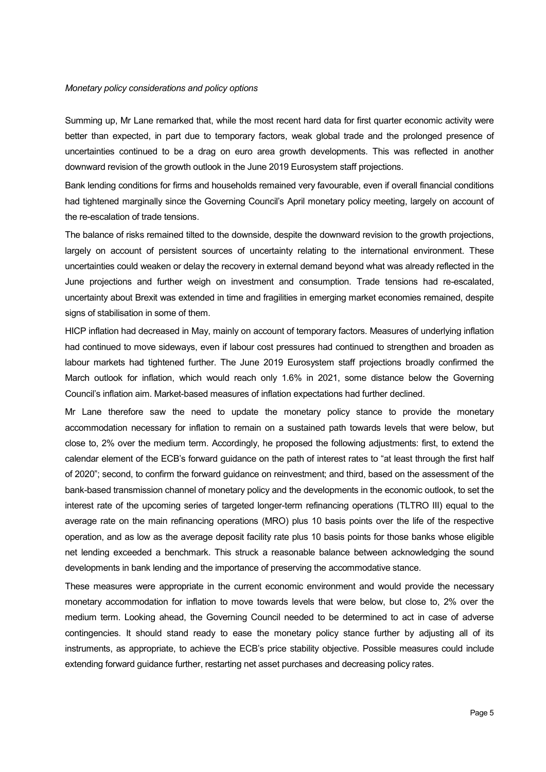### *Monetary policy considerations and policy options*

Summing up, Mr Lane remarked that, while the most recent hard data for first quarter economic activity were better than expected, in part due to temporary factors, weak global trade and the prolonged presence of uncertainties continued to be a drag on euro area growth developments. This was reflected in another downward revision of the growth outlook in the June 2019 Eurosystem staff projections.

Bank lending conditions for firms and households remained very favourable, even if overall financial conditions had tightened marginally since the Governing Council's April monetary policy meeting, largely on account of the re-escalation of trade tensions.

The balance of risks remained tilted to the downside, despite the downward revision to the growth projections, largely on account of persistent sources of uncertainty relating to the international environment. These uncertainties could weaken or delay the recovery in external demand beyond what was already reflected in the June projections and further weigh on investment and consumption. Trade tensions had re-escalated, uncertainty about Brexit was extended in time and fragilities in emerging market economies remained, despite signs of stabilisation in some of them.

HICP inflation had decreased in May, mainly on account of temporary factors. Measures of underlying inflation had continued to move sideways, even if labour cost pressures had continued to strengthen and broaden as labour markets had tightened further. The June 2019 Eurosystem staff projections broadly confirmed the March outlook for inflation, which would reach only 1.6% in 2021, some distance below the Governing Council's inflation aim. Market-based measures of inflation expectations had further declined.

Mr Lane therefore saw the need to update the monetary policy stance to provide the monetary accommodation necessary for inflation to remain on a sustained path towards levels that were below, but close to, 2% over the medium term. Accordingly, he proposed the following adjustments: first, to extend the calendar element of the ECB's forward guidance on the path of interest rates to "at least through the first half of 2020"; second, to confirm the forward guidance on reinvestment; and third, based on the assessment of the bank-based transmission channel of monetary policy and the developments in the economic outlook, to set the interest rate of the upcoming series of targeted longer-term refinancing operations (TLTRO III) equal to the average rate on the main refinancing operations (MRO) plus 10 basis points over the life of the respective operation, and as low as the average deposit facility rate plus 10 basis points for those banks whose eligible net lending exceeded a benchmark. This struck a reasonable balance between acknowledging the sound developments in bank lending and the importance of preserving the accommodative stance.

These measures were appropriate in the current economic environment and would provide the necessary monetary accommodation for inflation to move towards levels that were below, but close to, 2% over the medium term. Looking ahead, the Governing Council needed to be determined to act in case of adverse contingencies. It should stand ready to ease the monetary policy stance further by adjusting all of its instruments, as appropriate, to achieve the ECB's price stability objective. Possible measures could include extending forward guidance further, restarting net asset purchases and decreasing policy rates.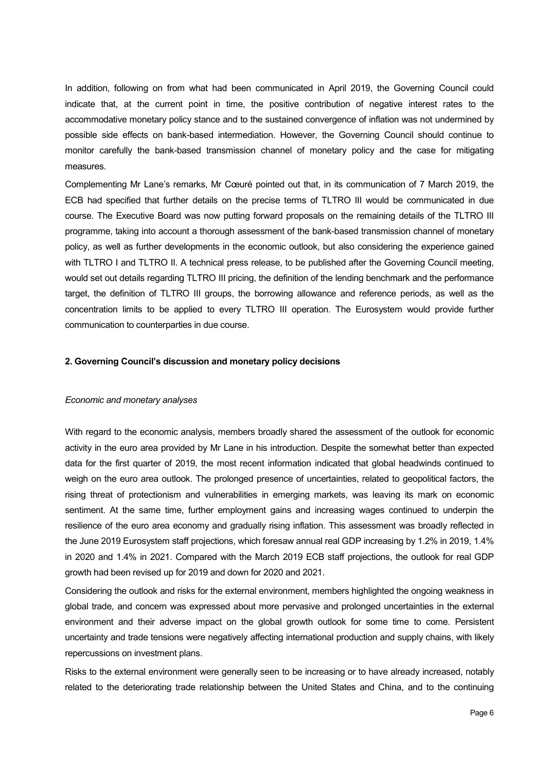In addition, following on from what had been communicated in April 2019, the Governing Council could indicate that, at the current point in time, the positive contribution of negative interest rates to the accommodative monetary policy stance and to the sustained convergence of inflation was not undermined by possible side effects on bank-based intermediation. However, the Governing Council should continue to monitor carefully the bank-based transmission channel of monetary policy and the case for mitigating measures.

Complementing Mr Lane's remarks, Mr Cœuré pointed out that, in its communication of 7 March 2019, the ECB had specified that further details on the precise terms of TLTRO III would be communicated in due course. The Executive Board was now putting forward proposals on the remaining details of the TLTRO III programme, taking into account a thorough assessment of the bank-based transmission channel of monetary policy, as well as further developments in the economic outlook, but also considering the experience gained with TLTRO I and TLTRO II. A technical press release, to be published after the Governing Council meeting, would set out details regarding TLTRO III pricing, the definition of the lending benchmark and the performance target, the definition of TLTRO III groups, the borrowing allowance and reference periods, as well as the concentration limits to be applied to every TLTRO III operation. The Eurosystem would provide further communication to counterparties in due course.

# **2. Governing Council's discussion and monetary policy decisions**

## *Economic and monetary analyses*

With regard to the economic analysis, members broadly shared the assessment of the outlook for economic activity in the euro area provided by Mr Lane in his introduction. Despite the somewhat better than expected data for the first quarter of 2019, the most recent information indicated that global headwinds continued to weigh on the euro area outlook. The prolonged presence of uncertainties, related to geopolitical factors, the rising threat of protectionism and vulnerabilities in emerging markets, was leaving its mark on economic sentiment. At the same time, further employment gains and increasing wages continued to underpin the resilience of the euro area economy and gradually rising inflation. This assessment was broadly reflected in the June 2019 Eurosystem staff projections, which foresaw annual real GDP increasing by 1.2% in 2019, 1.4% in 2020 and 1.4% in 2021. Compared with the March 2019 ECB staff projections, the outlook for real GDP growth had been revised up for 2019 and down for 2020 and 2021.

Considering the outlook and risks for the external environment, members highlighted the ongoing weakness in global trade, and concern was expressed about more pervasive and prolonged uncertainties in the external environment and their adverse impact on the global growth outlook for some time to come. Persistent uncertainty and trade tensions were negatively affecting international production and supply chains, with likely repercussions on investment plans.

Risks to the external environment were generally seen to be increasing or to have already increased, notably related to the deteriorating trade relationship between the United States and China, and to the continuing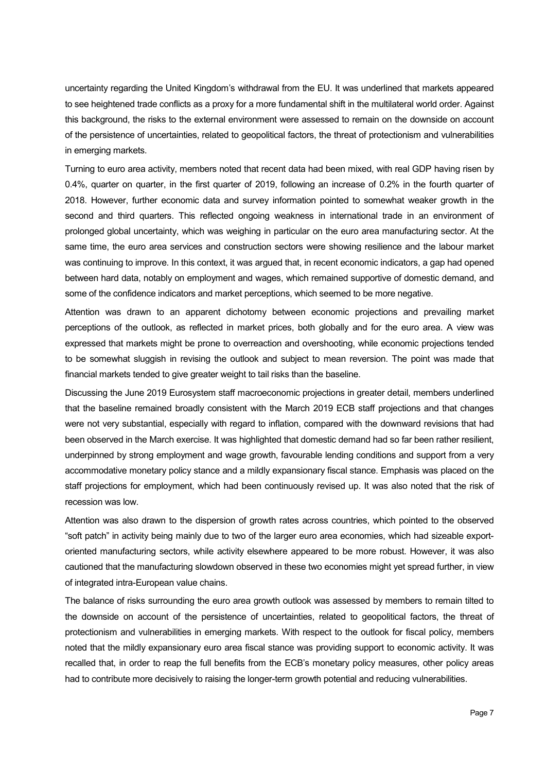uncertainty regarding the United Kingdom's withdrawal from the EU. It was underlined that markets appeared to see heightened trade conflicts as a proxy for a more fundamental shift in the multilateral world order. Against this background, the risks to the external environment were assessed to remain on the downside on account of the persistence of uncertainties, related to geopolitical factors, the threat of protectionism and vulnerabilities in emerging markets.

Turning to euro area activity, members noted that recent data had been mixed, with real GDP having risen by 0.4%, quarter on quarter, in the first quarter of 2019, following an increase of 0.2% in the fourth quarter of 2018. However, further economic data and survey information pointed to somewhat weaker growth in the second and third quarters. This reflected ongoing weakness in international trade in an environment of prolonged global uncertainty, which was weighing in particular on the euro area manufacturing sector. At the same time, the euro area services and construction sectors were showing resilience and the labour market was continuing to improve. In this context, it was argued that, in recent economic indicators, a gap had opened between hard data, notably on employment and wages, which remained supportive of domestic demand, and some of the confidence indicators and market perceptions, which seemed to be more negative.

Attention was drawn to an apparent dichotomy between economic projections and prevailing market perceptions of the outlook, as reflected in market prices, both globally and for the euro area. A view was expressed that markets might be prone to overreaction and overshooting, while economic projections tended to be somewhat sluggish in revising the outlook and subject to mean reversion. The point was made that financial markets tended to give greater weight to tail risks than the baseline.

Discussing the June 2019 Eurosystem staff macroeconomic projections in greater detail, members underlined that the baseline remained broadly consistent with the March 2019 ECB staff projections and that changes were not very substantial, especially with regard to inflation, compared with the downward revisions that had been observed in the March exercise. It was highlighted that domestic demand had so far been rather resilient, underpinned by strong employment and wage growth, favourable lending conditions and support from a very accommodative monetary policy stance and a mildly expansionary fiscal stance. Emphasis was placed on the staff projections for employment, which had been continuously revised up. It was also noted that the risk of recession was low.

Attention was also drawn to the dispersion of growth rates across countries, which pointed to the observed "soft patch" in activity being mainly due to two of the larger euro area economies, which had sizeable exportoriented manufacturing sectors, while activity elsewhere appeared to be more robust. However, it was also cautioned that the manufacturing slowdown observed in these two economies might yet spread further, in view of integrated intra-European value chains.

The balance of risks surrounding the euro area growth outlook was assessed by members to remain tilted to the downside on account of the persistence of uncertainties, related to geopolitical factors, the threat of protectionism and vulnerabilities in emerging markets. With respect to the outlook for fiscal policy, members noted that the mildly expansionary euro area fiscal stance was providing support to economic activity. It was recalled that, in order to reap the full benefits from the ECB's monetary policy measures, other policy areas had to contribute more decisively to raising the longer-term growth potential and reducing vulnerabilities.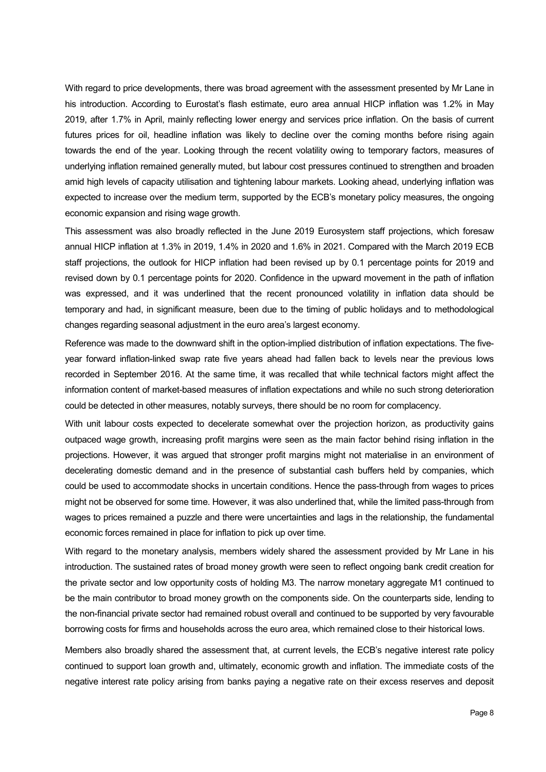With regard to price developments, there was broad agreement with the assessment presented by Mr Lane in his introduction. According to Eurostat's flash estimate, euro area annual HICP inflation was 1.2% in May 2019, after 1.7% in April, mainly reflecting lower energy and services price inflation. On the basis of current futures prices for oil, headline inflation was likely to decline over the coming months before rising again towards the end of the year. Looking through the recent volatility owing to temporary factors, measures of underlying inflation remained generally muted, but labour cost pressures continued to strengthen and broaden amid high levels of capacity utilisation and tightening labour markets. Looking ahead, underlying inflation was expected to increase over the medium term, supported by the ECB's monetary policy measures, the ongoing economic expansion and rising wage growth.

This assessment was also broadly reflected in the June 2019 Eurosystem staff projections, which foresaw annual HICP inflation at 1.3% in 2019, 1.4% in 2020 and 1.6% in 2021. Compared with the March 2019 ECB staff projections, the outlook for HICP inflation had been revised up by 0.1 percentage points for 2019 and revised down by 0.1 percentage points for 2020. Confidence in the upward movement in the path of inflation was expressed, and it was underlined that the recent pronounced volatility in inflation data should be temporary and had, in significant measure, been due to the timing of public holidays and to methodological changes regarding seasonal adjustment in the euro area's largest economy.

Reference was made to the downward shift in the option-implied distribution of inflation expectations. The fiveyear forward inflation-linked swap rate five years ahead had fallen back to levels near the previous lows recorded in September 2016. At the same time, it was recalled that while technical factors might affect the information content of market-based measures of inflation expectations and while no such strong deterioration could be detected in other measures, notably surveys, there should be no room for complacency.

With unit labour costs expected to decelerate somewhat over the projection horizon, as productivity gains outpaced wage growth, increasing profit margins were seen as the main factor behind rising inflation in the projections. However, it was argued that stronger profit margins might not materialise in an environment of decelerating domestic demand and in the presence of substantial cash buffers held by companies, which could be used to accommodate shocks in uncertain conditions. Hence the pass-through from wages to prices might not be observed for some time. However, it was also underlined that, while the limited pass-through from wages to prices remained a puzzle and there were uncertainties and lags in the relationship, the fundamental economic forces remained in place for inflation to pick up over time.

With regard to the monetary analysis, members widely shared the assessment provided by Mr Lane in his introduction. The sustained rates of broad money growth were seen to reflect ongoing bank credit creation for the private sector and low opportunity costs of holding M3. The narrow monetary aggregate M1 continued to be the main contributor to broad money growth on the components side. On the counterparts side, lending to the non-financial private sector had remained robust overall and continued to be supported by very favourable borrowing costs for firms and households across the euro area, which remained close to their historical lows.

Members also broadly shared the assessment that, at current levels, the ECB's negative interest rate policy continued to support loan growth and, ultimately, economic growth and inflation. The immediate costs of the negative interest rate policy arising from banks paying a negative rate on their excess reserves and deposit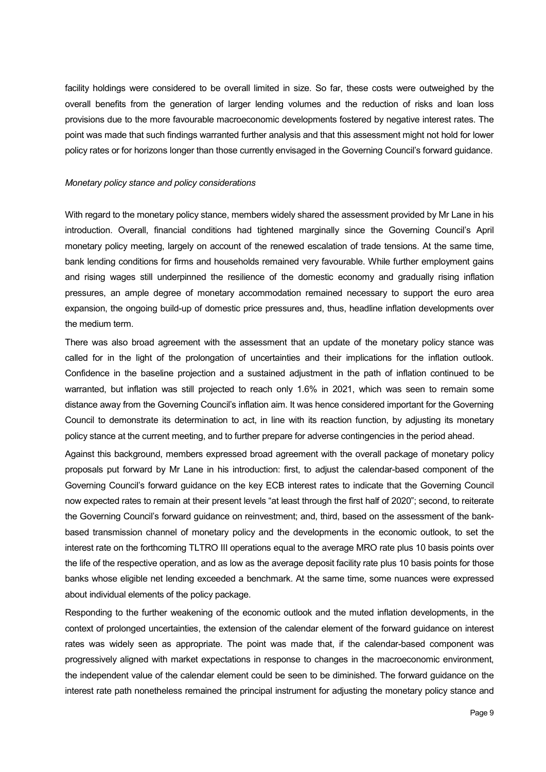facility holdings were considered to be overall limited in size. So far, these costs were outweighed by the overall benefits from the generation of larger lending volumes and the reduction of risks and loan loss provisions due to the more favourable macroeconomic developments fostered by negative interest rates. The point was made that such findings warranted further analysis and that this assessment might not hold for lower policy rates or for horizons longer than those currently envisaged in the Governing Council's forward guidance.

#### *Monetary policy stance and policy considerations*

With regard to the monetary policy stance, members widely shared the assessment provided by Mr Lane in his introduction. Overall, financial conditions had tightened marginally since the Governing Council's April monetary policy meeting, largely on account of the renewed escalation of trade tensions. At the same time, bank lending conditions for firms and households remained very favourable. While further employment gains and rising wages still underpinned the resilience of the domestic economy and gradually rising inflation pressures, an ample degree of monetary accommodation remained necessary to support the euro area expansion, the ongoing build-up of domestic price pressures and, thus, headline inflation developments over the medium term.

There was also broad agreement with the assessment that an update of the monetary policy stance was called for in the light of the prolongation of uncertainties and their implications for the inflation outlook. Confidence in the baseline projection and a sustained adjustment in the path of inflation continued to be warranted, but inflation was still projected to reach only 1.6% in 2021, which was seen to remain some distance away from the Governing Council's inflation aim. It was hence considered important for the Governing Council to demonstrate its determination to act, in line with its reaction function, by adjusting its monetary policy stance at the current meeting, and to further prepare for adverse contingencies in the period ahead.

Against this background, members expressed broad agreement with the overall package of monetary policy proposals put forward by Mr Lane in his introduction: first, to adjust the calendar-based component of the Governing Council's forward guidance on the key ECB interest rates to indicate that the Governing Council now expected rates to remain at their present levels "at least through the first half of 2020"; second, to reiterate the Governing Council's forward guidance on reinvestment; and, third, based on the assessment of the bankbased transmission channel of monetary policy and the developments in the economic outlook, to set the interest rate on the forthcoming TLTRO III operations equal to the average MRO rate plus 10 basis points over the life of the respective operation, and as low as the average deposit facility rate plus 10 basis points for those banks whose eligible net lending exceeded a benchmark. At the same time, some nuances were expressed about individual elements of the policy package.

Responding to the further weakening of the economic outlook and the muted inflation developments, in the context of prolonged uncertainties, the extension of the calendar element of the forward guidance on interest rates was widely seen as appropriate. The point was made that, if the calendar-based component was progressively aligned with market expectations in response to changes in the macroeconomic environment, the independent value of the calendar element could be seen to be diminished. The forward guidance on the interest rate path nonetheless remained the principal instrument for adjusting the monetary policy stance and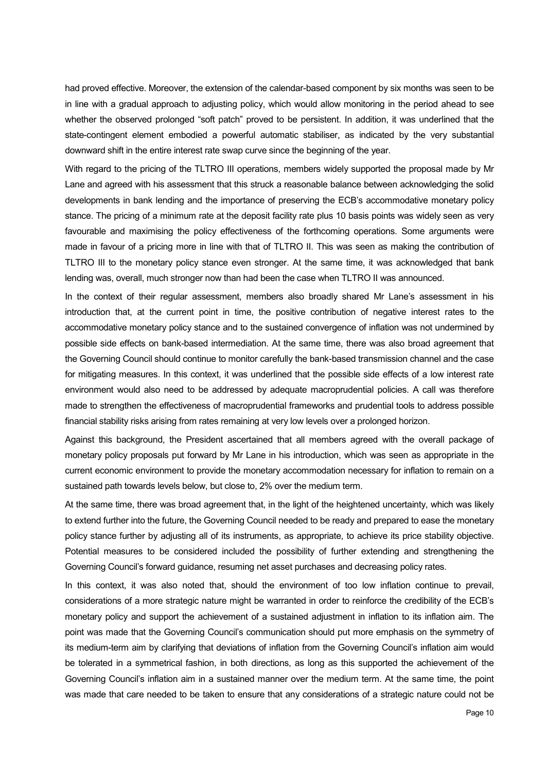had proved effective. Moreover, the extension of the calendar-based component by six months was seen to be in line with a gradual approach to adjusting policy, which would allow monitoring in the period ahead to see whether the observed prolonged "soft patch" proved to be persistent. In addition, it was underlined that the state-contingent element embodied a powerful automatic stabiliser, as indicated by the very substantial downward shift in the entire interest rate swap curve since the beginning of the year.

With regard to the pricing of the TLTRO III operations, members widely supported the proposal made by Mr Lane and agreed with his assessment that this struck a reasonable balance between acknowledging the solid developments in bank lending and the importance of preserving the ECB's accommodative monetary policy stance. The pricing of a minimum rate at the deposit facility rate plus 10 basis points was widely seen as very favourable and maximising the policy effectiveness of the forthcoming operations. Some arguments were made in favour of a pricing more in line with that of TLTRO II. This was seen as making the contribution of TLTRO III to the monetary policy stance even stronger. At the same time, it was acknowledged that bank lending was, overall, much stronger now than had been the case when TLTRO II was announced.

In the context of their regular assessment, members also broadly shared Mr Lane's assessment in his introduction that, at the current point in time, the positive contribution of negative interest rates to the accommodative monetary policy stance and to the sustained convergence of inflation was not undermined by possible side effects on bank-based intermediation. At the same time, there was also broad agreement that the Governing Council should continue to monitor carefully the bank-based transmission channel and the case for mitigating measures. In this context, it was underlined that the possible side effects of a low interest rate environment would also need to be addressed by adequate macroprudential policies. A call was therefore made to strengthen the effectiveness of macroprudential frameworks and prudential tools to address possible financial stability risks arising from rates remaining at very low levels over a prolonged horizon.

Against this background, the President ascertained that all members agreed with the overall package of monetary policy proposals put forward by Mr Lane in his introduction, which was seen as appropriate in the current economic environment to provide the monetary accommodation necessary for inflation to remain on a sustained path towards levels below, but close to, 2% over the medium term.

At the same time, there was broad agreement that, in the light of the heightened uncertainty, which was likely to extend further into the future, the Governing Council needed to be ready and prepared to ease the monetary policy stance further by adjusting all of its instruments, as appropriate, to achieve its price stability objective. Potential measures to be considered included the possibility of further extending and strengthening the Governing Council's forward guidance, resuming net asset purchases and decreasing policy rates.

In this context, it was also noted that, should the environment of too low inflation continue to prevail, considerations of a more strategic nature might be warranted in order to reinforce the credibility of the ECB's monetary policy and support the achievement of a sustained adjustment in inflation to its inflation aim. The point was made that the Governing Council's communication should put more emphasis on the symmetry of its medium-term aim by clarifying that deviations of inflation from the Governing Council's inflation aim would be tolerated in a symmetrical fashion, in both directions, as long as this supported the achievement of the Governing Council's inflation aim in a sustained manner over the medium term. At the same time, the point was made that care needed to be taken to ensure that any considerations of a strategic nature could not be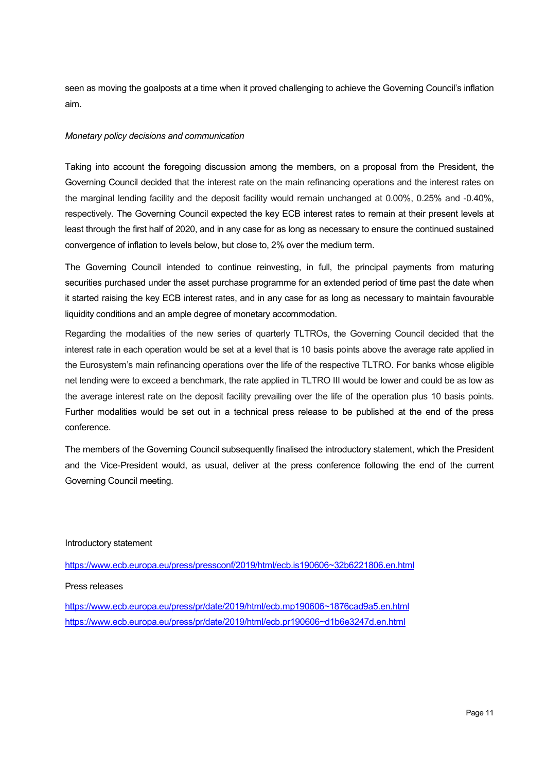seen as moving the goalposts at a time when it proved challenging to achieve the Governing Council's inflation aim.

# *Monetary policy decisions and communication*

Taking into account the foregoing discussion among the members, on a proposal from the President, the Governing Council decided that the interest rate on the main refinancing operations and the interest rates on the marginal lending facility and the deposit facility would remain unchanged at 0.00%, 0.25% and -0.40%, respectively. The Governing Council expected the key ECB interest rates to remain at their present levels at least through the first half of 2020, and in any case for as long as necessary to ensure the continued sustained convergence of inflation to levels below, but close to, 2% over the medium term.

The Governing Council intended to continue reinvesting, in full, the principal payments from maturing securities purchased under the asset purchase programme for an extended period of time past the date when it started raising the key ECB interest rates, and in any case for as long as necessary to maintain favourable liquidity conditions and an ample degree of monetary accommodation.

Regarding the modalities of the new series of quarterly TLTROs, the Governing Council decided that the interest rate in each operation would be set at a level that is 10 basis points above the average rate applied in the Eurosystem's main refinancing operations over the life of the respective TLTRO. For banks whose eligible net lending were to exceed a benchmark, the rate applied in TLTRO III would be lower and could be as low as the average interest rate on the deposit facility prevailing over the life of the operation plus 10 basis points. Further modalities would be set out in a technical press release to be published at the end of the press conference.

The members of the Governing Council subsequently finalised the introductory statement, which the President and the Vice-President would, as usual, deliver at the press conference following the end of the current Governing Council meeting.

# Introductory statement

[https://www.ecb.europa.eu/press/pressconf/2019/html/ecb.is190606~32b6221806.en.html](https://www.ecb.europa.eu/press/pressconf/2019/html/ecb.is190606%7E32b6221806.en.html)

# Press releases

[https://www.ecb.europa.eu/press/pr/date/2019/html/ecb.mp190606~1876cad9a5.en.html](https://www.ecb.europa.eu/press/pr/date/2019/html/ecb.mp190606%7E1876cad9a5.en.html) [https://www.ecb.europa.eu/press/pr/date/2019/html/ecb.pr190606~d1b6e3247d.en.html](https://www.ecb.europa.eu/press/pr/date/2019/html/ecb.pr190606%7Ed1b6e3247d.en.html)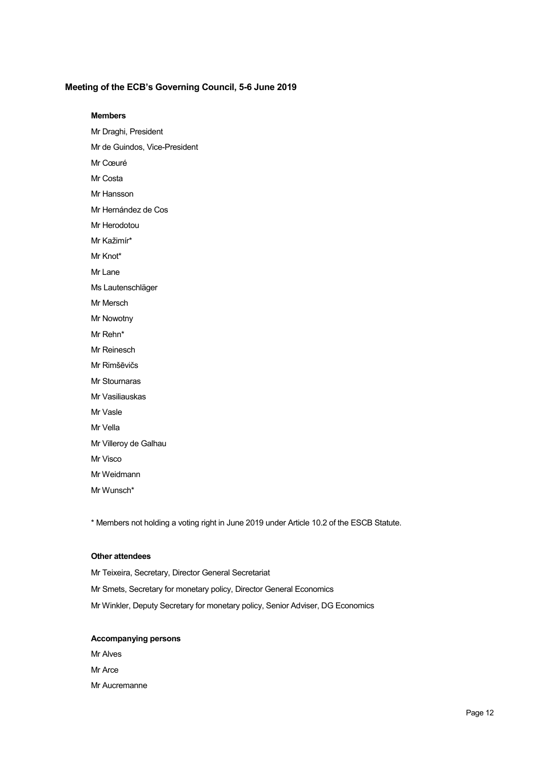# **Meeting of the ECB's Governing Council, 5-6 June 2019**

#### **Members**

- Mr Draghi, President
- Mr de Guindos, Vice-President
- Mr Cœuré
- Mr Costa
- Mr Hansson
- Mr Hernández de Cos
- Mr Herodotou
- Mr Kažimír\*
- Mr Knot\*
- Mr Lane
- Ms Lautenschläger
- Mr Mersch
- Mr Nowotny
- Mr Rehn\*
- Mr Reinesch
- Mr Rimšēvičs
- Mr Stournaras
- Mr Vasiliauskas
- Mr Vasle
- Mr Vella
- Mr Villeroy de Galhau
- Mr Visco
- Mr Weidmann
- Mr Wunsch\*

\* Members not holding a voting right in June 2019 under Article 10.2 of the ESCB Statute.

## **Other attendees**

Mr Teixeira, Secretary, Director General Secretariat Mr Smets, Secretary for monetary policy, Director General Economics Mr Winkler, Deputy Secretary for monetary policy, Senior Adviser, DG Economics

#### **Accompanying persons**

Mr Alves Mr Arce Mr Aucremanne